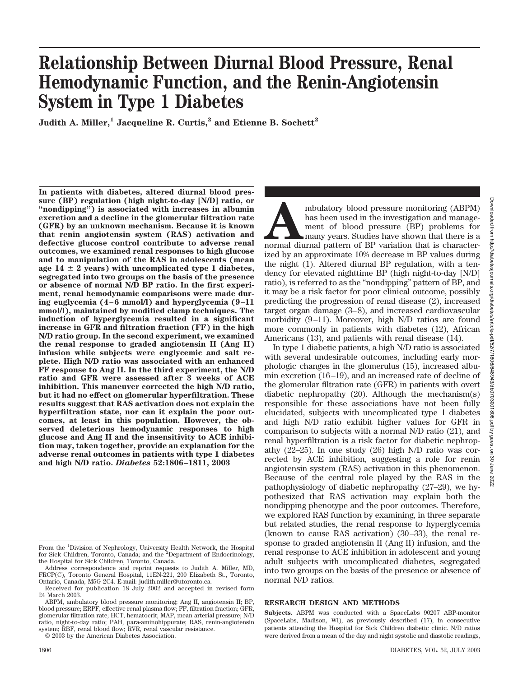# **Relationship Between Diurnal Blood Pressure, Renal Hemodynamic Function, and the Renin-Angiotensin System in Type 1 Diabetes**

**Judith A. Miller,<sup>1</sup> <b>Jacqueline R. Curtis,**<sup>2</sup> and Etienne B. Sochett<sup>2</sup>

**In patients with diabetes, altered diurnal blood pressure (BP) regulation (high night-to-day [N/D] ratio, or "nondipping") is associated with increases in albumin excretion and a decline in the glomerular filtration rate (GFR) by an unknown mechanism. Because it is known that renin angiotensin system (RAS) activation and defective glucose control contribute to adverse renal outcomes, we examined renal responses to high glucose and to manipulation of the RAS in adolescents (mean** age  $14 \pm 2$  years) with uncomplicated type 1 diabetes, **segregated into two groups on the basis of the presence or absence of normal N/D BP ratio. In the first experiment, renal hemodynamic comparisons were made during euglycemia (4–6 mmol/l) and hyperglycemia (9–11 mmol/l), maintained by modified clamp techniques. The induction of hyperglycemia resulted in a significant increase in GFR and filtration fraction (FF) in the high N/D ratio group. In the second experiment, we examined the renal response to graded angiotensin II (Ang II) infusion while subjects were euglycemic and salt replete. High N/D ratio was associated with an enhanced FF response to Ang II. In the third experiment, the N/D ratio and GFR were assessed after 3 weeks of ACE inhibition. This maneuver corrected the high N/D ratio, but it had no effect on glomerular hyperfiltration. These results suggest that RAS activation does not explain the hyperfiltration state, nor can it explain the poor outcomes, at least in this population. However, the observed deleterious hemodynamic responses to high glucose and Ang II and the insensitivity to ACE inhibition may, taken together, provide an explanation for the adverse renal outcomes in patients with type 1 diabetes and high N/D ratio.** *Diabetes* **52:1806–1811, 2003**

© 2003 by the American Diabetes Association.

mbulatory blood pressure monitoring (ABPM) has been used in the investigation and management of blood pressure (BP) problems for many years. Studies have shown that there is a normal diurnal pattern of BP variation that is has been used in the investigation and management of blood pressure (BP) problems for many years. Studies have shown that there is a ized by an approximate 10% decrease in BP values during the night (1). Altered diurnal BP regulation, with a tendency for elevated nighttime BP (high night-to-day [N/D] ratio), is referred to as the "nondipping" pattern of BP, and it may be a risk factor for poor clinical outcome, possibly predicting the progression of renal disease (2), increased target organ damage (3–8), and increased cardiovascular morbidity (9–11). Moreover, high N/D ratios are found more commonly in patients with diabetes (12), African Americans (13), and patients with renal disease (14).

In type 1 diabetic patients, a high N/D ratio is associated with several undesirable outcomes, including early morphologic changes in the glomerulus (15), increased albumin excretion (16–19), and an increased rate of decline of the glomerular filtration rate (GFR) in patients with overt diabetic nephropathy  $(20)$ . Although the mechanism $(s)$ responsible for these associations have not been fully elucidated, subjects with uncomplicated type 1 diabetes and high N/D ratio exhibit higher values for GFR in comparison to subjects with a normal N/D ratio (21), and renal hyperfiltration is a risk factor for diabetic nephropathy (22–25). In one study (26) high N/D ratio was corrected by ACE inhibition, suggesting a role for renin angiotensin system (RAS) activation in this phenomenon. Because of the central role played by the RAS in the pathophysiology of diabetic nephropathy (27–29), we hypothesized that RAS activation may explain both the nondipping phenotype and the poor outcomes. Therefore, we explored RAS function by examining, in three separate but related studies, the renal response to hyperglycemia (known to cause RAS activation) (30–33), the renal response to graded angiotensin II (Ang II) infusion, and the renal response to ACE inhibition in adolescent and young adult subjects with uncomplicated diabetes, segregated into two groups on the basis of the presence or absence of normal N/D ratios.

## **RESEARCH DESIGN AND METHODS**

**Subjects.** ABPM was conducted with a SpaceLabs 90207 ABP-monitor (SpaceLabs, Madison, WI), as previously described (17), in consecutive patients attending the Hospital for Sick Children diabetic clinic. N/D ratios were derived from a mean of the day and night systolic and diastolic readings,

From the <sup>1</sup>Division of Nephrology, University Health Network, the Hospital for Sick Children, Toronto, Canada; and the <sup>2</sup>Department of Endocrinology, the Hospital for Sick Children, Toronto, Canada.

Address correspondence and reprint requests to Judith A. Miller, MD, FRCP(C), Toronto General Hospital, 11EN-221, 200 Elizabeth St., Toronto, Ontario, Canada, M5G 2C4. E-mail: judith.miller@utoronto.ca.

Received for publication 18 July 2002 and accepted in revised form 24 March 2003.

ABPM, ambulatory blood pressure monitoring; Ang II, angiotensin II; BP, blood pressure; ERPF, effective renal plasma flow; FF, filtration fraction; GFR, glomerular filtration rate; HCT, hematocrit; MAP, mean arterial pressure; N/D ratio, night-to-day ratio; PAH, para-aminohippurate; RAS, renin-angiotensin system; RBF, renal blood flow; RVR, renal vascular resistance.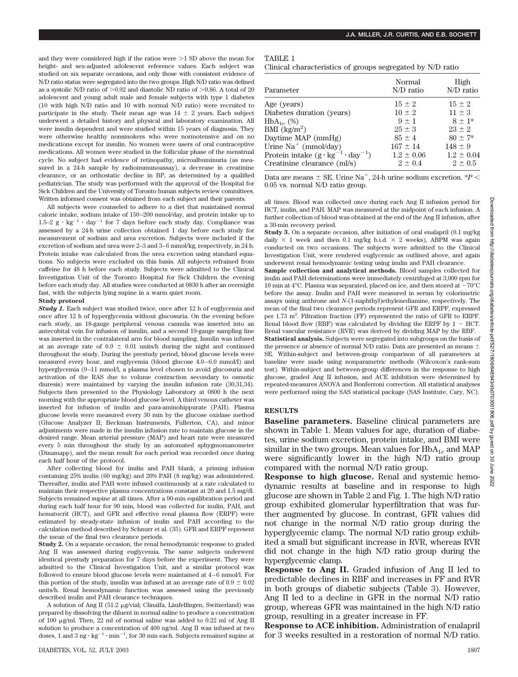and they were considered high if the ratios were  $>1$  SD above the mean for height- and sex-adjusted adolescent reference values. Each subject was studied on six separate occasions, and only those with consistent evidence of N/D ratio status were segregated into the two groups. High N/D ratio was defined as a systolic N/D ratio of  $>0.92$  and diastolic ND ratio of  $>0.86$ . A total of 20 adolescent and young adult male and female subjects with type 1 diabetes (10 with high N/D ratio and 10 with normal N/D ratio) were recruited to participate in the study. Their mean age was  $14 \pm 2$  years. Each subject underwent a detailed history and physical and laboratory examination. All were insulin dependent and were studied within 15 years of diagnosis. They were otherwise healthy nonsmokers who were normotensive and on no medications except for insulin. No women were users of oral contraceptive medications. All women were studied in the follicular phase of the menstrual cycle. No subject had evidence of retinopathy, microalbuminuria (as measured in a 24-h sample by radioimmunoassay), a decrease in creatinine clearance, or an orthostatic decline in BP, as determined by a qualified pediatrician. The study was performed with the approval of the Hospital for Sick Children and the University of Toronto human subjects review committees. Written informed consent was obtained from each subject and their parents.

All subjects were counseled to adhere to a diet that maintained normal caloric intake, sodium intake of 150–200 mmol/day, and protein intake up to 1.5–2  $g \cdot kg^{-1} \cdot day^{-1}$  for 7 days before each study day. Compliance was assessed by a 24-h urine collection obtained 1 day before each study for measurement of sodium and urea excretion. Subjects were included if the excretion of sodium and urea were 2–3 and 3–6 mmol/kg, respectively, in 24 h. Protein intake was calculated from the urea excretion using standard equations. No subjects were excluded on this basis. All subjects refrained from caffeine for 48 h before each study. Subjects were admitted to the Clinical Investigation Unit of the Toronto Hospital for Sick Children the evening before each study day. All studies were conducted at 0830 h after an overnight fast, with the subjects lying supine in a warm quiet room.

#### **Study protocol**

*Study 1.* Each subject was studied twice, once after 12 h of euglycemia and once after 12 h of hyperglycemia without glucosuria. On the evening before each study, an 18-gauge peripheral venous cannula was inserted into an antecubital vein for infusion of insulin, and a second 19-gauge sampling line was inserted in the contralateral arm for blood sampling. Insulin was infused at an average rate of  $0.9 \pm 0.01$  units/h during the night and continued throughout the study. During the prestudy period, blood glucose levels were measured every hour, and euglycemia (blood glucose 4.0–6.0 mmol/l) and hyperglycemia (9–11 mmol/l, a plasma level chosen to avoid glucosuria and activation of the RAS due to volume contraction secondary to osmotic diuresis) were maintained by varying the insulin infusion rate (30,31,34). Subjects then presented to the Physiology Laboratory at 0800 h the next morning with the appropriate blood glucose level. A third venous catheter was inserted for infusion of inulin and para-aminohippurate (PAH). Plasma glucose levels were measured every 30 min by the glucose oxidase method (Glucose Analyzer II; Beckman Instruments, Fullerton, CA), and minor adjustments were made in the insulin infusion rate to maintain glucose in the desired range. Mean arterial pressure (MAP) and heart rate were measured every 5 min throughout the study by an automated sphygmomanometer (Dinamapp), and the mean result for each period was recorded once during each half hour of the protocol.

After collecting blood for inulin and PAH blank, a priming infusion containing 25% inulin (60 mg/kg) and 20% PAH (8 mg/kg) was administered. Thereafter, inulin and PAH were infused continuously at a rate calculated to maintain their respective plasma concentrations constant at 20 and 1.5 mg/dl. Subjects remained supine at all times. After a 90-min equilibration period and during each half hour for 90 min, blood was collected for inulin, PAH, and hematocrit (HCT), and GFR and effective renal plasma flow (ERPF) were estimated by steady-state infusion of inulin and PAH according to the calculation method described by Schnurr et al. (35). GFR and ERPF represent the mean of the final two clearance periods.

**Study 2.** On a separate occasion, the renal hemodynamic response to graded Ang II was assessed during euglycemia. The same subjects underwent identical prestudy preparation for 7 days before the experiment. They were admitted to the Clinical Investigation Unit, and a similar protocol was followed to ensure blood glucose levels were maintained at 4–6 mmol/l. For this portion of the study, insulin was infused at an average rate of  $0.9 \pm 0.02$ units/h. Renal hemodynamic function was assessed using the previously described inulin and PAH clearance techniques.

A solution of Ang II (51.2 µg/vial; Clinalfa, Läufelfingen, Switzerland) was prepared by dissolving the diluent in normal saline to produce a concentration of 100 g/ml. Then, 22 ml of normal saline was added to 0.22 ml of Ang II solution to produce a concentration of 400 ng/ml. Ang II was infused at two doses, 1 and 3 ng  $\cdot$  kg<sup>-1</sup>  $\cdot$  min<sup>-1</sup>, for 30 min each. Subjects remained supine at

#### TABLE 1

Clinical characteristics of groups segregated by N/D ratio

| Parameter                                         | Normal<br>N/D ratio | High<br>N/D ratio |
|---------------------------------------------------|---------------------|-------------------|
| Age (years)                                       | $15 \pm 2$          | $15 \pm 2$        |
| Diabetes duration (years)                         | $10 \pm 2$          | $11 \pm 3$        |
| $HbA_{1c}$ (%)                                    | $9 \pm 1$           | $8 + 1*$          |
| BMI $(kg/m^2)$                                    | $25 \pm 3$          | $23 \pm 2$        |
| Daytime MAP (mmHg)                                | $85 \pm 4$          | $80 \pm 7*$       |
| Urine $Na^+$ (mmol/day)                           | $167 \pm 14$        | $148 \pm 9$       |
| Protein intake $(g \cdot kg^{-1} \cdot day^{-1})$ | $1.2 \pm 0.06$      | $1.2 \pm 0.04$    |
| Creatinine clearance (ml/s)                       | $2 \pm 0.4$         | $2 \pm 0.5$       |

Data are means  $\pm$  SE. Urine Na<sup>+</sup>, 24-h urine sodium excretion.  $*P$  < 0.05 vs. normal N/D ratio group.

all times. Blood was collected once during each Ang II infusion period for HCT, inulin, and PAH. MAP was measured at the midpoint of each infusion. A further collection of blood was obtained at the end of the Ang II infusion, after a 30-min recovery period.

**Study 3.** On a separate occasion, after initiation of oral enalapril (0.1 mg/kg daily  $\times$  1 week and then 0.1 mg/kg b.i.d.  $\times$  2 weeks), ABPM was again conducted on two occasions. The subjects were admitted to the Clinical Investigation Unit, were rendered euglycemic as outlined above, and again underwent renal hemodynamic testing using inulin and PAH clearance. **Sample collection and analytical methods.** Blood samples collected for

inulin and PAH determinations were immediately centrifuged at 3,000 rpm for 10 min at 4 $\degree$ C. Plasma was separated, placed on ice, and then stored at  $-70\degree$ C before the assay. Inulin and PAH were measured in serum by colorimetric assays using anthrone and *N*-(1-naphthyl)ethylenediamine, respectively. The mean of the final two clearance periods represent GFR and ERPF, expressed per 1.73 m<sup>2</sup>. Filtration fraction (FF) represented the ratio of GFR to ERPF. Renal blood flow (RBF) was calculated by dividing the ERPF by  $1 - HCT$ . Renal vascular resistance (RVR) was derived by dividing MAP by the RBF. **Statistical analysis.** Subjects were segregated into subgroups on the basis of the presence or absence of normal N/D ratio. Data are presented as means  $\pm$ SE. Within-subject and between-group comparison of all parameters at baseline were made using nonparametric methods (Wilcoxon's rank-sum test). Within-subject and between-group differences in the response to high glucose, graded Ang II infusion, and ACE inhibition were determined by repeated-measures ANOVA and Bonferroni correction. All statistical analyses were performed using the SAS statistical package (SAS Institute, Cary, NC).

#### **RESULTS**

**Baseline parameters.** Baseline clinical parameters are shown in Table 1. Mean values for age, duration of diabetes, urine sodium excretion, protein intake, and BMI were similar in the two groups. Mean values for  $HbA_{1c}$  and MAP were significantly lower in the high N/D ratio group compared with the normal N/D ratio group.

**Response to high glucose.** Renal and systemic hemodynamic results at baseline and in response to high glucose are shown in Table 2 and Fig. 1. The high N/D ratio group exhibited glomerular hyperfiltration that was further augmented by glucose. In contrast, GFR values did not change in the normal N/D ratio group during the hyperglycemic clamp. The normal N/D ratio group exhibited a small but significant increase in RVR, whereas RVR did not change in the high N/D ratio group during the hyperglycemic clamp.

**Response to Ang II.** Graded infusion of Ang II led to predictable declines in RBF and increases in FF and RVR in both groups of diabetic subjects (Table 3). However, Ang II led to a decline in GFR in the normal N/D ratio group, whereas GFR was maintained in the high N/D ratio group, resulting in a greater increase in FF.

**Response to ACE inhibition.** Administration of enalapril for 3 weeks resulted in a restoration of normal N/D ratio.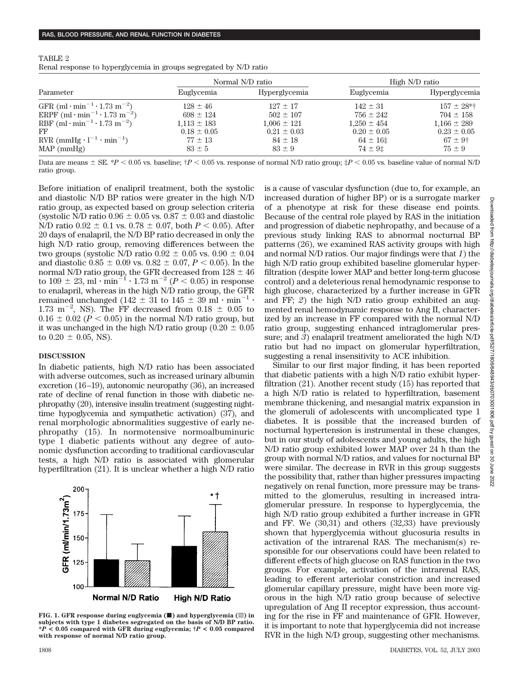| TABLE 2                                                           |  |  |
|-------------------------------------------------------------------|--|--|
| Renal response to hyperglycemia in groups segregated by N/D ratio |  |  |

|                                                                   |                 | Normal N/D ratio | High N/D ratio  |                 |  |
|-------------------------------------------------------------------|-----------------|------------------|-----------------|-----------------|--|
| Parameter                                                         | Euglycemia      | Hyperglycemia    | Euglycemia      | Hyperglycemia   |  |
| GFR (ml·min <sup>-1</sup> ·1.73 m <sup>-2</sup> )                 | $128 \pm 46$    | $127 \pm 17$     | $142 \pm 31$    | $157 \pm 28$ *† |  |
| ERPF (ml $\cdot$ min <sup>-1</sup> $\cdot$ 1.73 m <sup>-2</sup> ) | $698 \pm 124$   | $502 \pm 107$    | $756 \pm 242$   | $704 \pm 158$   |  |
| RBF (ml $\cdot$ min <sup>-1</sup> $\cdot$ 1.73 m <sup>-2</sup> )  | $1,113 \pm 183$ | $1,006 \pm 121$  | $1,250 \pm 454$ | $1,166 \pm 289$ |  |
| FF                                                                | $0.18 \pm 0.05$ | $0.21 \pm 0.03$  | $0.20 \pm 0.05$ | $0.23 \pm 0.05$ |  |
| RVR $(mmHg \cdot l^{-1} \cdot min^{-1})$                          | $77 \pm 13$     | $84 \pm 18$      | $64 \pm 16$ ‡   | $67 \pm 9^+$    |  |
| $MAP$ (mmHg)                                                      | $83 \pm 5$      | $83 \pm 9$       | $74 \pm 9$ ±    | $75 \pm 9$      |  |

Data are means  $\pm$  SE. \**P* < 0.05 vs. baseline; †*P* < 0.05 vs. response of normal N/D ratio group; ‡*P* < 0.05 vs. baseline value of normal N/D ratio group.

Before initiation of enalipril treatment, both the systolic and diastolic N/D BP ratios were greater in the high N/D ratio group, as expected based on group selection criteria (systolic N/D ratio  $0.96 \pm 0.05$  vs.  $0.87 \pm 0.03$  and diastolic  $N/D$  ratio  $0.92 \pm 0.1$  vs.  $0.78 \pm 0.07$ , both  $P < 0.05$ ). After 20 days of enalapril, the N/D BP ratio decreased in only the high N/D ratio group, removing differences between the two groups (systolic N/D ratio  $0.92 \pm 0.05$  vs.  $0.90 \pm 0.04$ and diastolic  $0.85 \pm 0.09$  vs.  $0.82 \pm 0.07$ ,  $P < 0.05$ ). In the normal N/D ratio group, the GFR decreased from  $128 \pm 46$ to  $109 \pm 23$ , ml · min<sup>-1</sup> · 1.73 m<sup>-2</sup> (*P* < 0.05) in response to enalapril, whereas in the high N/D ratio group, the GFR remained unchanged (142  $\pm$  31 to 145  $\pm$  39 ml · min<sup>-1</sup> · 1.73 m<sup>-2</sup>, NS). The FF decreased from  $0.18 \pm 0.05$  to  $0.16 \pm 0.02$  ( $P < 0.05$ ) in the normal N/D ratio group, but it was unchanged in the high N/D ratio group  $(0.20 \pm 0.05)$ to  $0.20 \pm 0.05$ , NS).

#### **DISCUSSION**

In diabetic patients, high N/D ratio has been associated with adverse outcomes, such as increased urinary albumin excretion (16–19), autonomic neuropathy (36), an increased rate of decline of renal function in those with diabetic nephropathy (20), intensive insulin treatment (suggesting nighttime hypoglycemia and sympathetic activation) (37), and renal morphologic abnormalities suggestive of early nephropathy (15). In normotensive normoalbuminuric type 1 diabetic patients without any degree of autonomic dysfunction according to traditional cardiovascular tests, a high N/D ratio is associated with glomerular hyperfiltration (21). It is unclear whether a high N/D ratio



**FIG. 1. GFR response during euglycemia (** $\blacksquare$ **) and hyperglycemia (** $\boxtimes$ **) in subjects with type 1 diabetes segregated on the basis of N/D BP ratio. \****P* **< 0.05 compared with GFR during euglycemia; †***P* **< 0.05 compared with response of normal N/D ratio group.**

is a cause of vascular dysfunction (due to, for example, an increased duration of higher BP) or is a surrogate marker of a phenotype at risk for these disease end points. Because of the central role played by RAS in the initiation and progression of diabetic nephropathy, and because of a previous study linking RAS to abnormal nocturnal BP patterns (26), we examined RAS activity groups with high and normal N/D ratios. Our major findings were that *1*) the high N/D ratio group exhibited baseline glomerular hyperfiltration (despite lower MAP and better long-term glucose control) and a deleterious renal hemodynamic response to high glucose, characterized by a further increase in GFR and FF; *2*) the high N/D ratio group exhibited an augmented renal hemodynamic response to Ang II, characterized by an increase in FF compared with the normal N/D ratio group, suggesting enhanced intraglomerular pressure; and *3*) enalapril treatment ameliorated the high N/D ratio but had no impact on glomerular hyperfiltration, suggesting a renal insensitivity to ACE inhibition.

Similar to our first major finding, it has been reported that diabetic patients with a high N/D ratio exhibit hyperfiltration (21). Another recent study (15) has reported that a high N/D ratio is related to hyperfiltration, basement membrane thickening, and mesangial matrix expansion in the glomeruli of adolescents with uncomplicated type 1 diabetes. It is possible that the increased burden of nocturnal hypertension is instrumental in these changes, but in our study of adolescents and young adults, the high N/D ratio group exhibited lower MAP over 24 h than the group with normal N/D ratios, and values for nocturnal BP were similar. The decrease in RVR in this group suggests the possibility that, rather than higher pressures impacting negatively on renal function, more pressure may be transmitted to the glomerulus, resulting in increased intraglomerular pressure. In response to hyperglycemia, the high N/D ratio group exhibited a further increase in GFR and FF. We (30,31) and others (32,33) have previously shown that hyperglycemia without glucosuria results in activation of the intrarenal RAS. The mechanism(s) responsible for our observations could have been related to different effects of high glucose on RAS function in the two groups. For example, activation of the intrarenal RAS, leading to efferent arteriolar constriction and increased glomerular capillary pressure, might have been more vigorous in the high N/D ratio group because of selective upregulation of Ang II receptor expression, thus accounting for the rise in FF and maintenance of GFR. However, it is important to note that hyperglycemia did not increase RVR in the high N/D group, suggesting other mechanisms.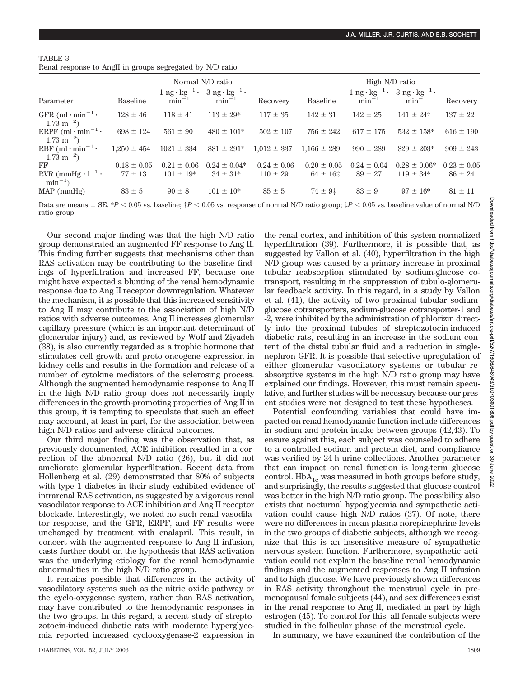| 9<br>TABLE .<br>ה |
|-------------------|
|-------------------|

Renal response to AngII in groups segregated by N/D ratio

|                                                            |                 | Normal N/D ratio |                                                                                                 |                 | High N/D ratio  |                                                  |                                                       |                 |
|------------------------------------------------------------|-----------------|------------------|-------------------------------------------------------------------------------------------------|-----------------|-----------------|--------------------------------------------------|-------------------------------------------------------|-----------------|
| Parameter                                                  | <b>Baseline</b> | $\min^{-1}$      | $1 \text{ ng} \cdot \text{kg}^{-1} \cdot 3 \text{ ng} \cdot \text{kg}^{-1} \cdot$<br>$min^{-1}$ | Recovery        | Baseline        | $1$ ng $\cdot$ kg $^{-1}$ $\cdot$<br>$\min^{-1}$ | $3$ ng $\cdot$ kg <sup>-1</sup> $\cdot$<br>$min^{-1}$ | Recovery        |
| GFR $(ml \cdot min^{-1} \cdot$<br>$1.73 \text{ m}^{-2}$    | $128 \pm 46$    | $118 \pm 41$     | $113 \pm 29^*$                                                                                  | $117 \pm 35$    | $142 \pm 31$    | $142 \pm 25$                                     | $141 \pm 24^+$                                        | $137 \pm 22$    |
| ERPF $(ml \cdot min^{-1} \cdot$<br>$1.73 \text{ m}^{-2}$ ) | $698 \pm 124$   | $561 \pm 90$     | $480 \pm 101*$                                                                                  | $502 \pm 107$   | $756 \pm 242$   | $617 \pm 175$                                    | $532 \pm 158*$                                        | $616 \pm 190$   |
| RBF $(ml \cdot min^{-1} \cdot$<br>$1.73 \text{ m}^{-2}$    | $1.250 \pm 454$ | $1021 \pm 334$   | $881 \pm 291*$                                                                                  | $1.012 \pm 337$ | $1.166 \pm 289$ | $990 \pm 289$                                    | $829 \pm 203*$                                        | $909 \pm 243$   |
| FF                                                         | $0.18 \pm 0.05$ | $0.21 \pm 0.06$  | $0.24 \pm 0.04*$                                                                                | $0.24 \pm 0.06$ | $0.20 \pm 0.05$ | $0.24 \pm 0.04$                                  | $0.28 \pm 0.06*$                                      | $0.23 \pm 0.05$ |
| RVR (mmHg $\cdot$ 1 <sup>-1</sup> $\cdot$<br>$\min^{-1}$   | $77 \pm 13$     | $101 \pm 19*$    | $134 \pm 31*$                                                                                   | $110 \pm 29$    | $64 \pm 16$ :   | $89 \pm 27$                                      | $119 \pm 34*$                                         | $86 \pm 24$     |
| $MAP$ (mmHg)                                               | $83 \pm 5$      | $90 \pm 8$       | $101 \pm 10^*$                                                                                  | $85 \pm 5$      | $74 \pm 9$ :    | $83 \pm 9$                                       | $97 \pm 16*$                                          | $81 \pm 11$     |

Data are means  $\pm$  SE. \**P* < 0.05 vs. baseline; †*P* < 0.05 vs. response of normal N/D ratio group; ‡*P* < 0.05 vs. baseline value of normal N/D ratio group.

Our second major finding was that the high N/D ratio group demonstrated an augmented FF response to Ang II. This finding further suggests that mechanisms other than RAS activation may be contributing to the baseline findings of hyperfiltration and increased FF, because one might have expected a blunting of the renal hemodynamic response due to Ang II receptor downregulation. Whatever the mechanism, it is possible that this increased sensitivity to Ang II may contribute to the association of high N/D ratios with adverse outcomes. Ang II increases glomerular capillary pressure (which is an important determinant of glomerular injury) and, as reviewed by Wolf and Ziyadeh (38), is also currently regarded as a trophic hormone that stimulates cell growth and proto-oncogene expression in kidney cells and results in the formation and release of a number of cytokine mediators of the sclerosing process. Although the augmented hemodynamic response to Ang II in the high N/D ratio group does not necessarily imply differences in the growth-promoting properties of Ang II in this group, it is tempting to speculate that such an effect may account, at least in part, for the association between high N/D ratios and adverse clinical outcomes.

Our third major finding was the observation that, as previously documented, ACE inhibition resulted in a correction of the abnormal N/D ratio (26), but it did not ameliorate glomerular hyperfiltration. Recent data from Hollenberg et al. (29) demonstrated that 80% of subjects with type 1 diabetes in their study exhibited evidence of intrarenal RAS activation, as suggested by a vigorous renal vasodilator response to ACE inhibition and Ang II receptor blockade. Interestingly, we noted no such renal vasodilator response, and the GFR, ERPF, and FF results were unchanged by treatment with enalapril. This result, in concert with the augmented response to Ang II infusion, casts further doubt on the hypothesis that RAS activation was the underlying etiology for the renal hemodynamic abnormalities in the high N/D ratio group.

It remains possible that differences in the activity of vasodilatory systems such as the nitric oxide pathway or the cyclo-oxygenase system, rather than RAS activation, may have contributed to the hemodynamic responses in the two groups. In this regard, a recent study of streptozotocin-induced diabetic rats with moderate hyperglycemia reported increased cyclooxygenase-2 expression in the renal cortex, and inhibition of this system normalized hyperfiltration (39). Furthermore, it is possible that, as suggested by Vallon et al. (40), hyperfiltration in the high N/D group was caused by a primary increase in proximal tubular reabsorption stimulated by sodium-glucose cotransport, resulting in the suppression of tubulo-glomerular feedback activity. In this regard, in a study by Vallon et al. (41), the activity of two proximal tubular sodiumglucose cotransporters, sodium-glucose cotransporter-1 and -2, were inhibited by the administration of phlorizin directly into the proximal tubules of streptozotocin-induced diabetic rats, resulting in an increase in the sodium content of the distal tubular fluid and a reduction in singlenephron GFR. It is possible that selective upregulation of either glomerular vasodilatory systems or tubular reabsorptive systems in the high N/D ratio group may have explained our findings. However, this must remain speculative, and further studies will be necessary because our present studies were not designed to test these hypotheses.

Potential confounding variables that could have impacted on renal hemodynamic function include differences in sodium and protein intake between groups (42,43). To ensure against this, each subject was counseled to adhere to a controlled sodium and protein diet, and compliance was verified by 24-h urine collections. Another parameter that can impact on renal function is long-term glucose control.  $HbA_{1c}$  was measured in both groups before study, and surprisingly, the results suggested that glucose control was better in the high N/D ratio group. The possibility also exists that nocturnal hypoglycemia and sympathetic activation could cause high N/D ratios (37). Of note, there were no differences in mean plasma norepinephrine levels in the two groups of diabetic subjects, although we recognize that this is an insensitive measure of sympathetic nervous system function. Furthermore, sympathetic activation could not explain the baseline renal hemodynamic findings and the augmented responses to Ang II infusion and to high glucose. We have previously shown differences in RAS activity throughout the menstrual cycle in premenopausal female subjects (44), and sex differences exist in the renal response to Ang II, mediated in part by high estrogen (45). To control for this, all female subjects were studied in the follicular phase of the menstrual cycle.

In summary, we have examined the contribution of the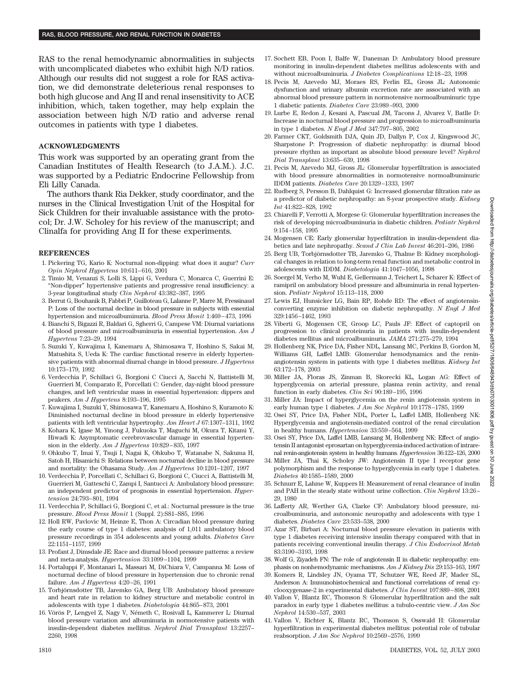RAS to the renal hemodynamic abnormalities in subjects with uncomplicated diabetes who exhibit high N/D ratios. Although our results did not suggest a role for RAS activation, we did demonstrate deleterious renal responses to both high glucose and Ang II and renal insensitivity to ACE inhibition, which, taken together, may help explain the association between high N/D ratio and adverse renal outcomes in patients with type 1 diabetes.

## **ACKNOWLEDGMENTS**

This work was supported by an operating grant from the Canadian Institutes of Health Research (to J.A.M.). J.C. was supported by a Pediatric Endocrine Fellowship from Eli Lilly Canada.

The authors thank Ria Dekker, study coordinator, and the nurses in the Clinical Investigation Unit of the Hospital for Sick Children for their invaluable assistance with the protocol; Dr. J.W. Scholey for his review of the manuscript; and Clinalfa for providing Ang II for these experiments.

#### **REFERENCES**

- 1. Pickering TG, Kario K: Nocturnal non-dipping: what does it augur? *Curr Opin Nephrol Hypertens* 10:611–616, 2001
- 2. Timio M, Venanzi S, Lolli S, Lippi G, Verdura C, Monarca C, Guerrini E: "Non-dipper" hypertensive patients and progressive renal insufficiency: a 3-year longitudinal study *Clin Nephrol* 43:382–387, 1995
- 3. Berrut G, Bouhanik B, Fabbri P, Guilloteau G, Lalanne P, Marre M, Fressinaud P: Loss of the nocturnal decline in blood pressure in subjects with essential hypertension and microalbuminuria. *Blood Press Monit* 1:469–473, 1996
- 4. Bianchi S, Bigazzi R, Baldari G, Sgherri G, Campese VM: Diurnal variations of blood pressure and microalbuminuria in essential hypertension. *Am J Hypertens* 7:23–29, 1994
- 5. Suzuki Y, Kuwajima I, Kanemaru A, Shimosawa T, Hoshino S, Sakai M, Matushita S, Ueda K: The cardiac functional reserve in elderly hypertensive patients with abnormal diurnal change in blood pressure. *J Hypertens* 10:173–179, 1992
- 6. Verdecchia P, Schillaci G, Borgioni C Ciucci A, Sacchi N, Battistelli M, Guerrieri M, Comparato E, Porcellati C: Gender, day-night blood pressure changes, and left ventricular mass in essential hypertension: dippers and peakers. *Am J Hypertens* 8:193–196, 1995
- 7. Kuwajima I, Suzuki Y, Shimosawa T, Kanemaru A, Hoshino S, Kuramoto K: Diminished nocturnal decline in blood pressure in elderly hypertensive patients with left ventricular hypertrophy. *Am Heart J* 67:1307–1311, 1992
- 8. Kohara K, Igase M, Yinong J, Fukuoka T, Maguchi M, Okura T, Kitami Y, Hiwadi K: Asymptomatic cerebrovascular damage in essential hypertension in the elderly. *Am J Hypertens* 10:829–835, 1997
- 9. Ohkubo T, Imai Y, Tsuji I, Nagai K, Ohkubo T, Watanabe N, Sakuma H, Satoh H, Hisamichi S: Relations between nocturnal decline in blood pressure and mortality: the Ohasama Study. *Am J Hypertens* 10:1201–1207, 1997
- 10. Verdecchia P, Porcellati C, Schillaci G, Borgioni C, Ciucci A, Battistelli M, Guerrieri M, Gatteschi C, Zampi I, Santucci A: Ambulatory blood pressure: an independent predictor of prognosis in essential hypertension. *Hypertension* 24:793–801, 1994
- 11. Verdecchia P, Schillaci G, Borgioni C, et al.: Nocturnal pressure is the true pressure. *Blood Press Monit* 1 (Suppl. 2):S81–S85, 1996
- 12. Holl RW, Pavlovic M, Heinze E, Thon A: Circadian blood pressure during the early course of type 1 diabetes: analysis of 1,011 ambulatory blood pressure recordings in 354 adolescents and young adults. *Diabetes Care* 22:1151–1157, 1999
- 13. Profant J, Dimsdale JE: Race and diurnal blood pressure patterns: a review and meta-analysis. *Hypertension* 33:1099–1104, 1999
- 14. Portaluppi F, Montanari L, Massari M, DiChiara V, Campanna M: Loss of nocturnal decline of blood pressure in hypertension due to chronic renal failure. *Am J Hypertens* 4:20–26, 1991
- 15. Torbjörnsdotter TB, Jaremko GA, Berg UB: Ambulatory blood pressure and heart rate in relation to kidney structure and metabolic control in adolescents with type 1 diabetes. *Diabetologia* 44:865–873, 2001
- 16. Vörös P, Lengyel Z, Nagy V, Németh C, Rosivall L, Kammerer L: Diurnal blood pressure variation and albuminuria in normotensive patients with insulin-dependent diabetes mellitus. *Nephrol Dial Transplant* 13:2257– 2260, 1998
- 17. Sochett EB, Poon I, Balfe W, Daneman D: Ambulatory blood pressure monitoring in insulin-dependent diabetes mellitus adolescents with and without microalbuminuria. *J Diabetes Complications* 12:18–23, 1998
- 18. Pecis M, Azevedo MJ, Moraes RS, Ferlin EL, Gross JL: Autonomic dysfunction and urinary albumin excretion rate are associated with an abnormal blood pressure pattern in normotensive normoalbuminuric type 1 diabetic patients. *Diabetes Care* 23:989–993, 2000
- 19. Lurbe E, Redon J, Kesani A, Pascual JM, Tacons J, Alvarez V, Batlle D: Increase in nocturnal blood pressure and progression to microalbuminuria in type 1 diabetes. *N Engl J Med* 347:797–805, 2002
- 20. Farmer CKT, Goldsmith DJA, Quin JD, Dallyn P, Cox J, Kingswood JC, Sharpstone P: Progression of diabetic nephropathy: is diurnal blood pressure rhythm as important as absolute blood pressure level? *Nephrol Dial Transplant* 13:635–639, 1998
- 21. Pecis M, Azevedo MJ, Gross JL: Glomerular hyperfiltration is associated with blood pressure abnormalities in normotensive normoalbuminuric IDDM patients. *Diabetes Care* 20:1329–1333, 1997
- 22. Rudberg S, Persson B, Dahlquist G: Increased glomerular filtration rate as a predictor of diabetic nephropathy: an 8-year prospective study. *Kidney Int* 41:822–828, 1992
- 23. Chiarelli F, Verrotti A, Morgese G: Glomerular hyperfiltration increases the risk of developing microalbuminuria in diabetic children. *Pediatr Nephrol* 9:154–158, 1995
- 24. Mogensen CE: Early glomerular hyperfiltration in insulin-dependent diabetics and late nephropathy. *Scand J Clin Lab Invest* 46:201–206, 1986
- 25. Berg UB, Torbjörnsdotter TB, Jaremko G, Thalme B: Kidney morphological changes in relation to long-term renal function and metabolic control in adolescents with IDDM. *Diabetologia* 41:1047–1056, 1998
- 26. Soergel M, Verho M, Wuhl E, Gellermann J, Teichert L, Scharer K: Effect of ramipril on ambulatory blood pressure and albuminuria in renal hypertension. *Pediatr Nephrol* 15:113–118, 2000
- 27. Lewis EJ, Hunsicker LG, Bain RP, Rohde RD: The effect of angiotensinconverting enzyme inhibition on diabetic nephropathy. *N Engl J Med* 329:1456–1462, 1993
- 28. Viberti G, Mogensen CE, Groop LC, Pauls JF: Effect of captopril on progression to clinical proteinuria in patients with insulin-dependent diabetes mellitus and microalbuminuria. *JAMA* 271:275–279, 1994
- 29. Hollenberg NK, Price DA, Fisher NDL, Lansang MC, Perkins B, Gordon M, Williams GH, Laffel LMB: Glomerular hemodynamics and the reninangiotensin system in patients with type 1 diabetes mellitus. *Kidney Int* 63:172–178, 2003
- 30. Miller JA, Floras JS, Zinman B, Skorecki KL, Logan AG: Effect of hyperglycemia on arterial pressure, plasma renin activity, and renal function in early diabetes. *Clin Sci* 90:189–195, 1996
- 31. Miller JA: Impact of hyperglycemia on the renin angiotensin system in early human type 1 diabetes. *J Am Soc Nephrol* 10:1778–1785, 1999
- 32. Osei SY, Price DA, Fisher NDL, Porter L, Laffel LMB, Hollenberg NK: Hyperglycemia and angiotensin-mediated control of the renal circulation in healthy humans. *Hypertension* 33:559–564, 1999
- 33. Osei SY, Price DA, Laffel LMB, Lansang M, Hollenberg NK: Effect of angiotensin II antagonist eprosartan on hyperglycemia-induced activation of intrarenal renin-angiotensin system in healthy humans. *Hypertension* 36:122–126, 2000
- 34. Miller JA, Thai K, Scholey JW: Angiotensin II type I receptor gene polymorphism and the response to hyperglycemia in early type 1 diabetes. *Diabetes* 40:1585–1589, 2000
- 35. Schnurr E, Lahme W, Kuppers H: Measurement of renal clearance of inulin and PAH in the steady state without urine collection. *Clin Nephrol* 13:26– 29, 1980
- 36. Lafferty AR, Werther GA, Clarke CF: Ambulatory blood pressure, microalbuminuria, and autonomic neuropathy and adolescents with type 1 diabetes. *Diabetes Care* 23:533–538, 2000
- 37. Azar ST, Birbari A: Nocturnal blood pressure elevation in patients with type 1 diabetes receiving intensive insulin therapy compared with that in patients receiving conventional insulin therapy. *J Clin Endocrinol Metab* 83:3190–3193, 1998
- 38. Wolf G, Ziyadeh FN: The role of angiotensin II in diabetic nephropathy: emphasis on nonhemodynamic mechanisms. *Am J Kidney Dis* 29:153–163, 1997
- 39. Komers R, Lindsley JN, Oyama TT, Schutzer WE, Reed JF, Mader SL, Anderson A: Immunohistochemical and functional correlations of renal cyclooxygenase-2 in experimental diabetes. *J Clin Invest* 107:889–898, 2001
- 40. Vallon V, Blantz RC, Thomson S: Glomerular hyperfiltration and the salt paradox in early type 1 diabetes mellitus: a tubulo-centric view. *J Am Soc Nephrol* 14:530–537, 2003
- 41. Vallon V, Richter K, Blantz RC, Thomson S, Osswald H: Glomerular hyperfiltration in experimental diabetes mellitus: potential role of tubular reabsorption. *J Am Soc Nephrol* 10:2569–2576, 1999